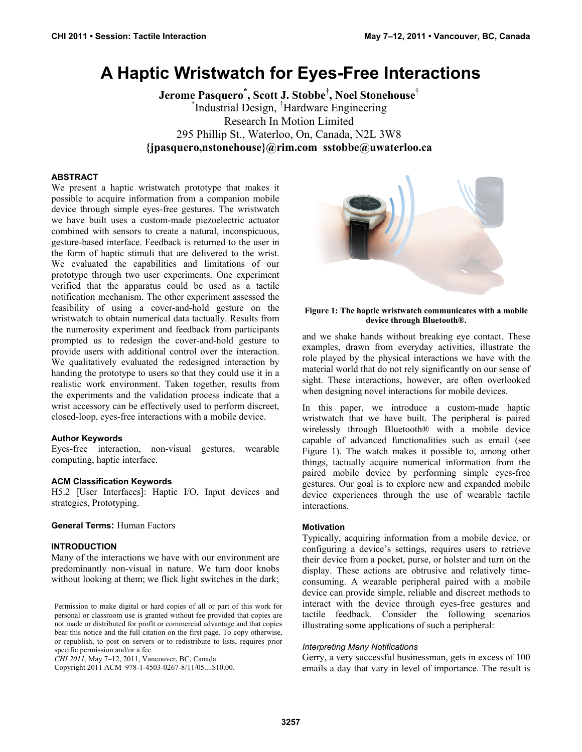# **A Haptic Wristwatch for Eyes-Free Interactions**

**Jerome Pasquero\* , Scott J. Stobbe† , Noel Stonehouse†** \* Industrial Design, † Hardware Engineering Research In Motion Limited 295 Phillip St., Waterloo, On, Canada, N2L 3W8 **{jpasquero,nstonehouse}@rim.com sstobbe@uwaterloo.ca**

## **ABSTRACT**

We present a haptic wristwatch prototype that makes it possible to acquire information from a companion mobile device through simple eyes-free gestures. The wristwatch we have built uses a custom-made piezoelectric actuator combined with sensors to create a natural, inconspicuous, gesture-based interface. Feedback is returned to the user in the form of haptic stimuli that are delivered to the wrist. We evaluated the capabilities and limitations of our prototype through two user experiments. One experiment verified that the apparatus could be used as a tactile notification mechanism. The other experiment assessed the feasibility of using a cover-and-hold gesture on the wristwatch to obtain numerical data tactually. Results from the numerosity experiment and feedback from participants prompted us to redesign the cover-and-hold gesture to provide users with additional control over the interaction. We qualitatively evaluated the redesigned interaction by handing the prototype to users so that they could use it in a realistic work environment. Taken together, results from the experiments and the validation process indicate that a wrist accessory can be effectively used to perform discreet, closed-loop, eyes-free interactions with a mobile device.

## **Author Keywords**

Eyes-free interaction, non-visual gestures, wearable computing, haptic interface.

## **ACM Classification Keywords**

H5.2 [User Interfaces]: Haptic I/O, Input devices and strategies, Prototyping.

## **General Terms:** Human Factors

## **INTRODUCTION**

Many of the interactions we have with our environment are predominantly non-visual in nature. We turn door knobs without looking at them; we flick light switches in the dark;

*CHI 2011,* May 7–12, 2011, Vancouver, BC, Canada.

Copyright 2011 ACM 978-1-4503-0267-8/11/05....\$10.00.



#### **Figure 1: The haptic wristwatch communicates with a mobile device through Bluetooth®.**

and we shake hands without breaking eye contact. These examples, drawn from everyday activities, illustrate the role played by the physical interactions we have with the material world that do not rely significantly on our sense of sight. These interactions, however, are often overlooked when designing novel interactions for mobile devices.

In this paper, we introduce a custom-made haptic wristwatch that we have built. The peripheral is paired wirelessly through Bluetooth® with a mobile device capable of advanced functionalities such as email (see Figure 1). The watch makes it possible to, among other things, tactually acquire numerical information from the paired mobile device by performing simple eyes-free gestures. Our goal is to explore new and expanded mobile device experiences through the use of wearable tactile interactions.

#### **Motivation**

Typically, acquiring information from a mobile device, or configuring a device's settings, requires users to retrieve their device from a pocket, purse, or holster and turn on the display. These actions are obtrusive and relatively timeconsuming. A wearable peripheral paired with a mobile device can provide simple, reliable and discreet methods to interact with the device through eyes-free gestures and tactile feedback. Consider the following scenarios illustrating some applications of such a peripheral:

## *Interpreting Many Notifications*

Gerry, a very successful businessman, gets in excess of 100 emails a day that vary in level of importance. The result is

Permission to make digital or hard copies of all or part of this work for personal or classroom use is granted without fee provided that copies are not made or distributed for profit or commercial advantage and that copies bear this notice and the full citation on the first page. To copy otherwise, or republish, to post on servers or to redistribute to lists, requires prior specific permission and/or a fee.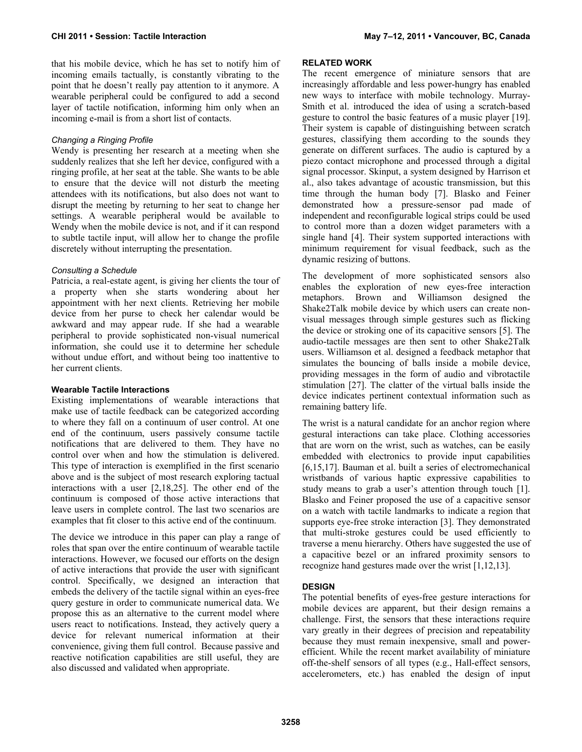that his mobile device, which he has set to notify him of incoming emails tactually, is constantly vibrating to the point that he doesn't really pay attention to it anymore. A wearable peripheral could be configured to add a second layer of tactile notification, informing him only when an incoming e-mail is from a short list of contacts.

## *Changing a Ringing Profile*

Wendy is presenting her research at a meeting when she suddenly realizes that she left her device, configured with a ringing profile, at her seat at the table. She wants to be able to ensure that the device will not disturb the meeting attendees with its notifications, but also does not want to disrupt the meeting by returning to her seat to change her settings. A wearable peripheral would be available to Wendy when the mobile device is not, and if it can respond to subtle tactile input, will allow her to change the profile discretely without interrupting the presentation.

#### *Consulting a Schedule*

Patricia, a real-estate agent, is giving her clients the tour of a property when she starts wondering about her appointment with her next clients. Retrieving her mobile device from her purse to check her calendar would be awkward and may appear rude. If she had a wearable peripheral to provide sophisticated non-visual numerical information, she could use it to determine her schedule without undue effort, and without being too inattentive to her current clients.

## **Wearable Tactile Interactions**

Existing implementations of wearable interactions that make use of tactile feedback can be categorized according to where they fall on a continuum of user control. At one end of the continuum, users passively consume tactile notifications that are delivered to them. They have no control over when and how the stimulation is delivered. This type of interaction is exemplified in the first scenario above and is the subject of most research exploring tactual interactions with a user [2,18,25]. The other end of the continuum is composed of those active interactions that leave users in complete control. The last two scenarios are examples that fit closer to this active end of the continuum.

The device we introduce in this paper can play a range of roles that span over the entire continuum of wearable tactile interactions. However, we focused our efforts on the design of active interactions that provide the user with significant control. Specifically, we designed an interaction that embeds the delivery of the tactile signal within an eyes-free query gesture in order to communicate numerical data. We propose this as an alternative to the current model where users react to notifications. Instead, they actively query a device for relevant numerical information at their convenience, giving them full control. Because passive and reactive notification capabilities are still useful, they are also discussed and validated when appropriate.

## **RELATED WORK**

The recent emergence of miniature sensors that are increasingly affordable and less power-hungry has enabled new ways to interface with mobile technology. Murray-Smith et al. introduced the idea of using a scratch-based gesture to control the basic features of a music player [19]. Their system is capable of distinguishing between scratch gestures, classifying them according to the sounds they generate on different surfaces. The audio is captured by a piezo contact microphone and processed through a digital signal processor. Skinput, a system designed by Harrison et al., also takes advantage of acoustic transmission, but this time through the human body [7]. Blasko and Feiner demonstrated how a pressure-sensor pad made of independent and reconfigurable logical strips could be used to control more than a dozen widget parameters with a single hand [4]. Their system supported interactions with minimum requirement for visual feedback, such as the dynamic resizing of buttons.

The development of more sophisticated sensors also enables the exploration of new eyes-free interaction metaphors. Brown and Williamson designed the Shake2Talk mobile device by which users can create nonvisual messages through simple gestures such as flicking the device or stroking one of its capacitive sensors [5]. The audio-tactile messages are then sent to other Shake2Talk users. Williamson et al. designed a feedback metaphor that simulates the bouncing of balls inside a mobile device, providing messages in the form of audio and vibrotactile stimulation [27]. The clatter of the virtual balls inside the device indicates pertinent contextual information such as remaining battery life.

The wrist is a natural candidate for an anchor region where gestural interactions can take place. Clothing accessories that are worn on the wrist, such as watches, can be easily embedded with electronics to provide input capabilities [6,15,17]. Bauman et al. built a series of electromechanical wristbands of various haptic expressive capabilities to study means to grab a user's attention through touch [1]. Blasko and Feiner proposed the use of a capacitive sensor on a watch with tactile landmarks to indicate a region that supports eye-free stroke interaction [3]. They demonstrated that multi-stroke gestures could be used efficiently to traverse a menu hierarchy. Others have suggested the use of a capacitive bezel or an infrared proximity sensors to recognize hand gestures made over the wrist [1,12,13].

## **DESIGN**

The potential benefits of eyes-free gesture interactions for mobile devices are apparent, but their design remains a challenge. First, the sensors that these interactions require vary greatly in their degrees of precision and repeatability because they must remain inexpensive, small and powerefficient. While the recent market availability of miniature off-the-shelf sensors of all types (e.g., Hall-effect sensors, accelerometers, etc.) has enabled the design of input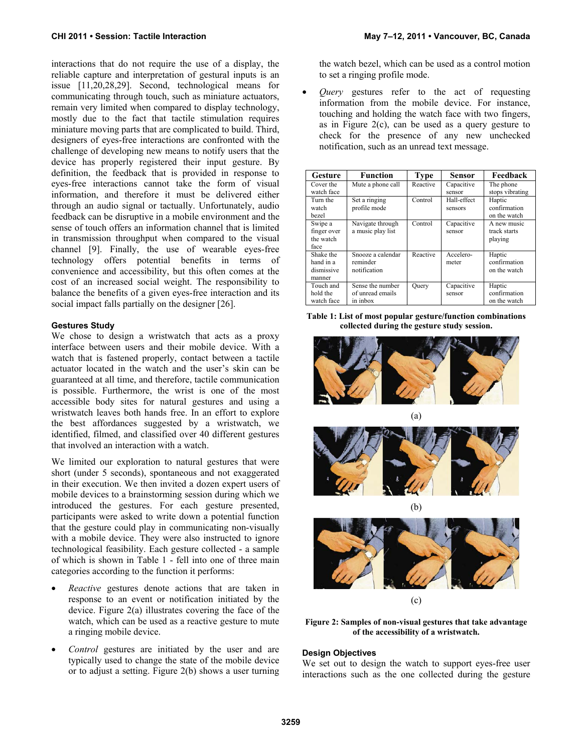interactions that do not require the use of a display, the reliable capture and interpretation of gestural inputs is an issue [11,20,28,29]. Second, technological means for communicating through touch, such as miniature actuators, remain very limited when compared to display technology, mostly due to the fact that tactile stimulation requires miniature moving parts that are complicated to build. Third, designers of eyes-free interactions are confronted with the challenge of developing new means to notify users that the device has properly registered their input gesture. By definition, the feedback that is provided in response to eyes-free interactions cannot take the form of visual information, and therefore it must be delivered either through an audio signal or tactually. Unfortunately, audio feedback can be disruptive in a mobile environment and the sense of touch offers an information channel that is limited in transmission throughput when compared to the visual channel [9]. Finally, the use of wearable eyes-free technology offers potential benefits in terms of convenience and accessibility, but this often comes at the cost of an increased social weight. The responsibility to balance the benefits of a given eyes-free interaction and its social impact falls partially on the designer [26].

#### **Gestures Study**

We chose to design a wristwatch that acts as a proxy interface between users and their mobile device. With a watch that is fastened properly, contact between a tactile actuator located in the watch and the user's skin can be guaranteed at all time, and therefore, tactile communication is possible. Furthermore, the wrist is one of the most accessible body sites for natural gestures and using a wristwatch leaves both hands free. In an effort to explore the best affordances suggested by a wristwatch, we identified, filmed, and classified over 40 different gestures that involved an interaction with a watch.

We limited our exploration to natural gestures that were short (under 5 seconds), spontaneous and not exaggerated in their execution. We then invited a dozen expert users of mobile devices to a brainstorming session during which we introduced the gestures. For each gesture presented, participants were asked to write down a potential function that the gesture could play in communicating non-visually with a mobile device. They were also instructed to ignore technological feasibility. Each gesture collected - a sample of which is shown in Table 1 - fell into one of three main categories according to the function it performs:

- *Reactive* gestures denote actions that are taken in response to an event or notification initiated by the device. Figure 2(a) illustrates covering the face of the watch, which can be used as a reactive gesture to mute a ringing mobile device.
- *Control* gestures are initiated by the user and are typically used to change the state of the mobile device or to adjust a setting. Figure 2(b) shows a user turning

the watch bezel, which can be used as a control motion to set a ringing profile mode.

 *Query* gestures refer to the act of requesting information from the mobile device. For instance, touching and holding the watch face with two fingers, as in Figure  $2(c)$ , can be used as a query gesture to check for the presence of any new unchecked notification, such as an unread text message.

| Gesture                                        | <b>Function</b>                                  | <b>Type</b> | Sensor                 | Feedback                               |
|------------------------------------------------|--------------------------------------------------|-------------|------------------------|----------------------------------------|
| Cover the<br>watch face                        | Mute a phone call                                | Reactive    | Capacitive<br>sensor   | The phone<br>stops vibrating           |
| Turn the<br>watch<br>bezel                     | Set a ringing<br>profile mode                    | Control     | Hall-effect<br>sensors | Haptic<br>confirmation<br>on the watch |
| Swipe a<br>finger over<br>the watch<br>face    | Navigate through<br>a music play list            | Control     | Capacitive<br>sensor   | A new music<br>track starts<br>playing |
| Shake the<br>hand in a<br>dismissive<br>manner | Snooze a calendar<br>reminder<br>notification    | Reactive    | Accelero-<br>meter     | Haptic<br>confirmation<br>on the watch |
| Touch and<br>hold the<br>watch face            | Sense the number<br>of unread emails<br>in inbox | Ouery       | Capacitive<br>sensor   | Haptic<br>confirmation<br>on the watch |

**Table 1: List of most popular gesture/function combinations collected during the gesture study session.** 







**Figure 2: Samples of non-visual gestures that take advantage of the accessibility of a wristwatch.** 

## **Design Objectives**

We set out to design the watch to support eyes-free user interactions such as the one collected during the gesture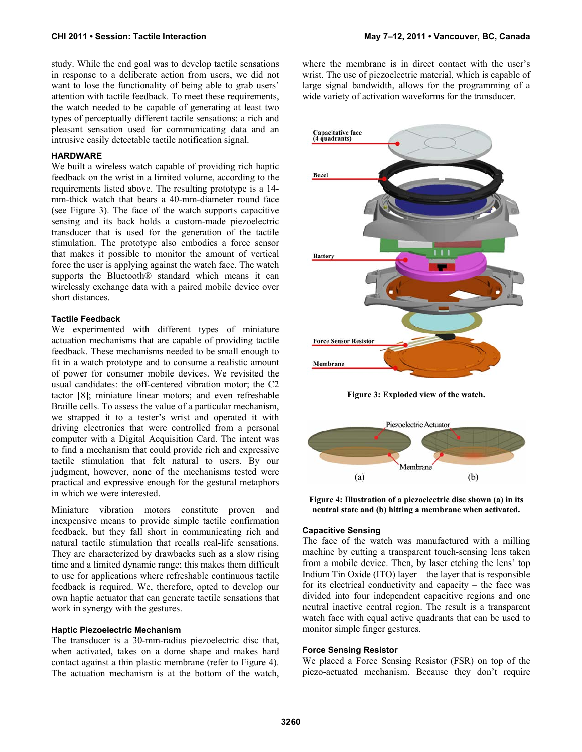study. While the end goal was to develop tactile sensations in response to a deliberate action from users, we did not want to lose the functionality of being able to grab users' attention with tactile feedback. To meet these requirements, the watch needed to be capable of generating at least two types of perceptually different tactile sensations: a rich and pleasant sensation used for communicating data and an intrusive easily detectable tactile notification signal.

## **HARDWARE**

We built a wireless watch capable of providing rich haptic feedback on the wrist in a limited volume, according to the requirements listed above. The resulting prototype is a 14 mm-thick watch that bears a 40-mm-diameter round face (see Figure 3). The face of the watch supports capacitive sensing and its back holds a custom-made piezoelectric transducer that is used for the generation of the tactile stimulation. The prototype also embodies a force sensor that makes it possible to monitor the amount of vertical force the user is applying against the watch face. The watch supports the Bluetooth® standard which means it can wirelessly exchange data with a paired mobile device over short distances.

## **Tactile Feedback**

We experimented with different types of miniature actuation mechanisms that are capable of providing tactile feedback. These mechanisms needed to be small enough to fit in a watch prototype and to consume a realistic amount of power for consumer mobile devices. We revisited the usual candidates: the off-centered vibration motor; the C2 tactor [8]; miniature linear motors; and even refreshable Braille cells. To assess the value of a particular mechanism, we strapped it to a tester's wrist and operated it with driving electronics that were controlled from a personal computer with a Digital Acquisition Card. The intent was to find a mechanism that could provide rich and expressive tactile stimulation that felt natural to users. By our judgment, however, none of the mechanisms tested were practical and expressive enough for the gestural metaphors in which we were interested.

Miniature vibration motors constitute proven and inexpensive means to provide simple tactile confirmation feedback, but they fall short in communicating rich and natural tactile stimulation that recalls real-life sensations. They are characterized by drawbacks such as a slow rising time and a limited dynamic range; this makes them difficult to use for applications where refreshable continuous tactile feedback is required. We, therefore, opted to develop our own haptic actuator that can generate tactile sensations that work in synergy with the gestures.

#### **Haptic Piezoelectric Mechanism**

The transducer is a 30-mm-radius piezoelectric disc that, when activated, takes on a dome shape and makes hard contact against a thin plastic membrane (refer to Figure 4). The actuation mechanism is at the bottom of the watch, where the membrane is in direct contact with the user's wrist. The use of piezoelectric material, which is capable of large signal bandwidth, allows for the programming of a wide variety of activation waveforms for the transducer.



**Figure 3: Exploded view of the watch.** 



**Figure 4: Illustration of a piezoelectric disc shown (a) in its neutral state and (b) hitting a membrane when activated.** 

#### **Capacitive Sensing**

The face of the watch was manufactured with a milling machine by cutting a transparent touch-sensing lens taken from a mobile device. Then, by laser etching the lens' top Indium Tin Oxide (ITO) layer – the layer that is responsible for its electrical conductivity and capacity – the face was divided into four independent capacitive regions and one neutral inactive central region. The result is a transparent watch face with equal active quadrants that can be used to monitor simple finger gestures.

#### **Force Sensing Resistor**

We placed a Force Sensing Resistor (FSR) on top of the piezo-actuated mechanism. Because they don't require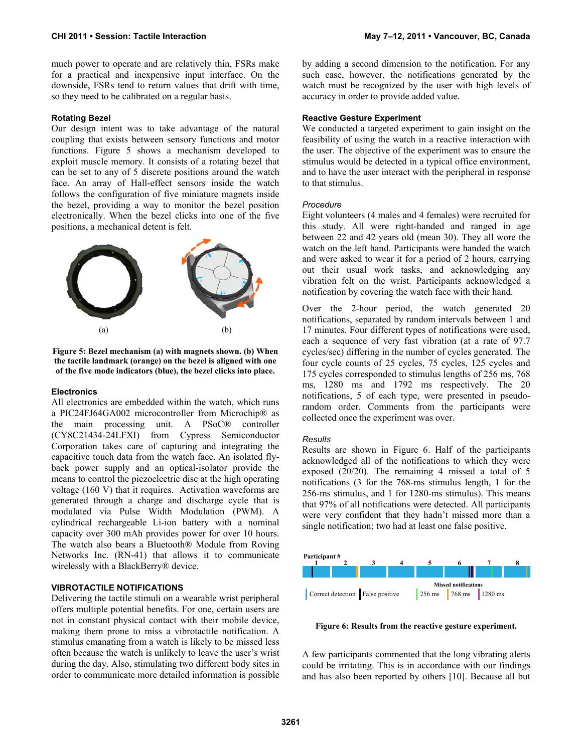much power to operate and are relatively thin, FSRs make for a practical and inexpensive input interface. On the downside, FSRs tend to return values that drift with time, so they need to be calibrated on a regular basis.

## **Rotating Bezel**

Our design intent was to take advantage of the natural coupling that exists between sensory functions and motor functions. Figure 5 shows a mechanism developed to exploit muscle memory. It consists of a rotating bezel that can be set to any of 5 discrete positions around the watch face. An array of Hall-effect sensors inside the watch follows the configuration of five miniature magnets inside the bezel, providing a way to monitor the bezel position electronically. When the bezel clicks into one of the five positions, a mechanical detent is felt.



**Figure 5: Bezel mechanism (a) with magnets shown. (b) When the tactile landmark (orange) on the bezel is aligned with one of the five mode indicators (blue), the bezel clicks into place.**

## **Electronics**

All electronics are embedded within the watch, which runs a PIC24FJ64GA002 microcontroller from Microchip® as the main processing unit. A PSoC® controller (CY8C21434-24LFXI) from Cypress Semiconductor Corporation takes care of capturing and integrating the capacitive touch data from the watch face. An isolated flyback power supply and an optical-isolator provide the means to control the piezoelectric disc at the high operating voltage (160 V) that it requires. Activation waveforms are generated through a charge and discharge cycle that is modulated via Pulse Width Modulation (PWM). A cylindrical rechargeable Li-ion battery with a nominal capacity over 300 mAh provides power for over 10 hours. The watch also bears a Bluetooth® Module from Roving Networks Inc. (RN-41) that allows it to communicate wirelessly with a BlackBerry® device.

## **VIBROTACTILE NOTIFICATIONS**

Delivering the tactile stimuli on a wearable wrist peripheral offers multiple potential benefits. For one, certain users are not in constant physical contact with their mobile device, making them prone to miss a vibrotactile notification. A stimulus emanating from a watch is likely to be missed less often because the watch is unlikely to leave the user's wrist during the day. Also, stimulating two different body sites in order to communicate more detailed information is possible

by adding a second dimension to the notification. For any such case, however, the notifications generated by the watch must be recognized by the user with high levels of accuracy in order to provide added value.

## **Reactive Gesture Experiment**

We conducted a targeted experiment to gain insight on the feasibility of using the watch in a reactive interaction with the user. The objective of the experiment was to ensure the stimulus would be detected in a typical office environment, and to have the user interact with the peripheral in response to that stimulus.

#### *Procedure*

Eight volunteers (4 males and 4 females) were recruited for this study. All were right-handed and ranged in age between 22 and 42 years old (mean 30). They all wore the watch on the left hand. Participants were handed the watch and were asked to wear it for a period of 2 hours, carrying out their usual work tasks, and acknowledging any vibration felt on the wrist. Participants acknowledged a notification by covering the watch face with their hand.

Over the 2-hour period, the watch generated 20 notifications, separated by random intervals between 1 and 17 minutes. Four different types of notifications were used, each a sequence of very fast vibration (at a rate of 97.7 cycles/sec) differing in the number of cycles generated. The four cycle counts of 25 cycles, 75 cycles, 125 cycles and 175 cycles corresponded to stimulus lengths of 256 ms, 768 ms, 1280 ms and 1792 ms respectively. The 20 notifications, 5 of each type, were presented in pseudorandom order. Comments from the participants were collected once the experiment was over.

## *Results*

Results are shown in Figure 6. Half of the participants acknowledged all of the notifications to which they were exposed (20/20). The remaining 4 missed a total of 5 notifications (3 for the 768-ms stimulus length, 1 for the 256-ms stimulus, and 1 for 1280-ms stimulus). This means that 97% of all notifications were detected. All participants were very confident that they hadn't missed more than a single notification; two had at least one false positive.



*Discussion*  **Figure 6: Results from the reactive gesture experiment.** 

A few participants commented that the long vibrating alerts could be irritating. This is in accordance with our findings and has also been reported by others [10]. Because all but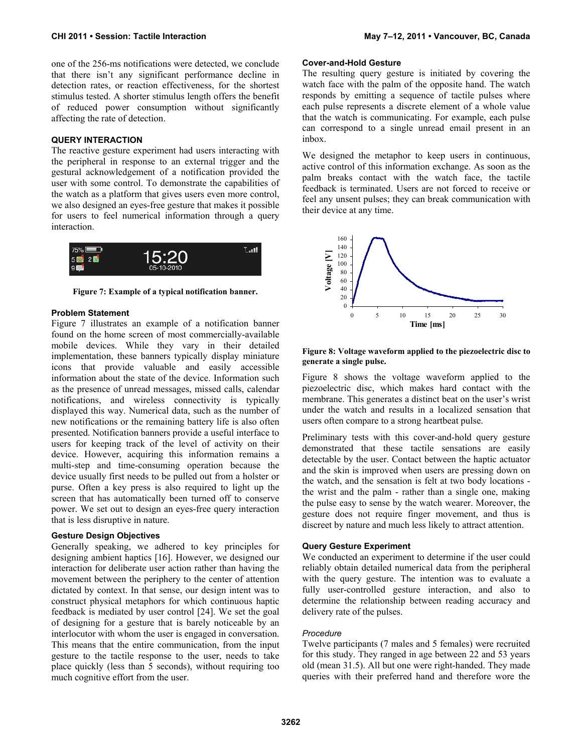one of the 256-ms notifications were detected, we conclude that there isn't any significant performance decline in detection rates, or reaction effectiveness, for the shortest stimulus tested. A shorter stimulus length offers the benefit of reduced power consumption without significantly affecting the rate of detection.

## **QUERY INTERACTION**

The reactive gesture experiment had users interacting with the peripheral in response to an external trigger and the gestural acknowledgement of a notification provided the user with some control. To demonstrate the capabilities of the watch as a platform that gives users even more control, we also designed an eyes-free gesture that makes it possible for users to feel numerical information through a query interaction.



**Figure 7: Example of a typical notification banner.** 

#### **Problem Statement**

Figure 7 illustrates an example of a notification banner found on the home screen of most commercially-available mobile devices. While they vary in their detailed implementation, these banners typically display miniature icons that provide valuable and easily accessible information about the state of the device. Information such as the presence of unread messages, missed calls, calendar notifications, and wireless connectivity is typically displayed this way. Numerical data, such as the number of new notifications or the remaining battery life is also often presented. Notification banners provide a useful interface to users for keeping track of the level of activity on their device. However, acquiring this information remains a multi-step and time-consuming operation because the device usually first needs to be pulled out from a holster or purse. Often a key press is also required to light up the screen that has automatically been turned off to conserve power. We set out to design an eyes-free query interaction that is less disruptive in nature.

#### **Gesture Design Objectives**

Generally speaking, we adhered to key principles for designing ambient haptics [16]. However, we designed our interaction for deliberate user action rather than having the movement between the periphery to the center of attention dictated by context. In that sense, our design intent was to construct physical metaphors for which continuous haptic feedback is mediated by user control [24]. We set the goal of designing for a gesture that is barely noticeable by an interlocutor with whom the user is engaged in conversation. This means that the entire communication, from the input gesture to the tactile response to the user, needs to take place quickly (less than 5 seconds), without requiring too much cognitive effort from the user.

## **Cover-and-Hold Gesture**

The resulting query gesture is initiated by covering the watch face with the palm of the opposite hand. The watch responds by emitting a sequence of tactile pulses where each pulse represents a discrete element of a whole value that the watch is communicating. For example, each pulse can correspond to a single unread email present in an inbox.

We designed the metaphor to keep users in continuous, active control of this information exchange. As soon as the palm breaks contact with the watch face, the tactile feedback is terminated. Users are not forced to receive or feel any unsent pulses; they can break communication with their device at any time.



#### **Figure 8: Voltage waveform applied to the piezoelectric disc to generate a single pulse.**

Figure 8 shows the voltage waveform applied to the piezoelectric disc, which makes hard contact with the membrane. This generates a distinct beat on the user's wrist under the watch and results in a localized sensation that users often compare to a strong heartbeat pulse.

Preliminary tests with this cover-and-hold query gesture demonstrated that these tactile sensations are easily detectable by the user. Contact between the haptic actuator and the skin is improved when users are pressing down on the watch, and the sensation is felt at two body locations the wrist and the palm - rather than a single one, making the pulse easy to sense by the watch wearer. Moreover, the gesture does not require finger movement, and thus is discreet by nature and much less likely to attract attention.

## **Query Gesture Experiment**

We conducted an experiment to determine if the user could reliably obtain detailed numerical data from the peripheral with the query gesture. The intention was to evaluate a fully user-controlled gesture interaction, and also to determine the relationship between reading accuracy and delivery rate of the pulses.

## *Procedure*

Twelve participants (7 males and 5 females) were recruited for this study. They ranged in age between 22 and 53 years old (mean 31.5). All but one were right-handed. They made queries with their preferred hand and therefore wore the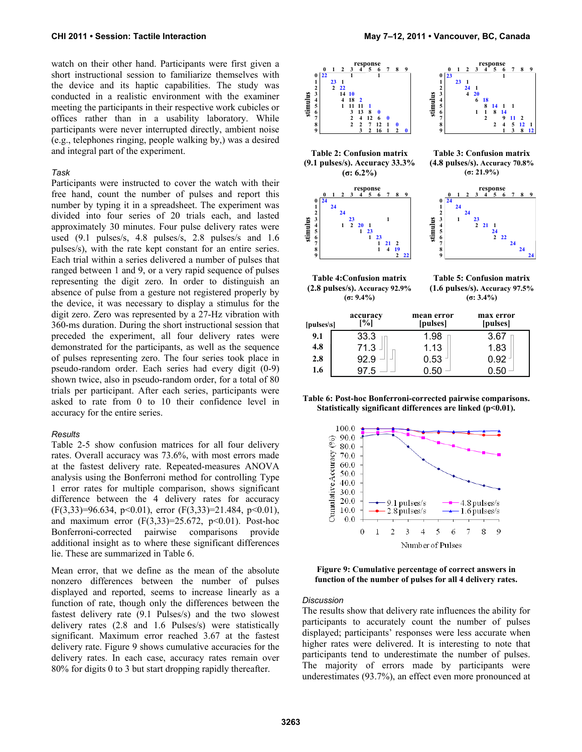watch on their other hand. Participants were first given a short instructional session to familiarize themselves with the device and its haptic capabilities. The study was conducted in a realistic environment with the examiner meeting the participants in their respective work cubicles or offices rather than in a usability laboratory. While participants were never interrupted directly, ambient noise (e.g., telephones ringing, people walking by,) was a desired and integral part of the experiment.

#### *Task*

Participants were instructed to cover the watch with their free hand, count the number of pulses and report this number by typing it in a spreadsheet. The experiment was divided into four series of 20 trials each, and lasted approximately 30 minutes. Four pulse delivery rates were used (9.1 pulses/s, 4.8 pulses/s, 2.8 pulses/s and 1.6 pulses/s), with the rate kept constant for an entire series. Each trial within a series delivered a number of pulses that ranged between 1 and 9, or a very rapid sequence of pulses representing the digit zero. In order to distinguish an absence of pulse from a gesture not registered properly by the device, it was necessary to display a stimulus for the digit zero. Zero was represented by a 27-Hz vibration with 360-ms duration. During the short instructional session that preceded the experiment, all four delivery rates were demonstrated for the participants, as well as the sequence of pulses representing zero. The four series took place in pseudo-random order. Each series had every digit (0-9) shown twice, also in pseudo-random order, for a total of 80 trials per participant. After each series, participants were asked to rate from 0 to 10 their confidence level in accuracy for the entire series.

#### *Results*

Table 2-5 show confusion matrices for all four delivery rates. Overall accuracy was 73.6%, with most errors made at the fastest delivery rate. Repeated-measures ANOVA analysis using the Bonferroni method for controlling Type 1 error rates for multiple comparison, shows significant difference between the 4 delivery rates for accuracy  $(F(3,33)=96.634, p<0.01)$ , error  $(F(3,33)=21.484, p<0.01)$ , and maximum error  $(F(3, 33)=25.672, p<0.01)$ . Post-hoc Bonferroni-corrected pairwise comparisons provide additional insight as to where these significant differences lie. These are summarized in Table 6.

Mean error, that we define as the mean of the absolute nonzero differences between the number of pulses displayed and reported, seems to increase linearly as a function of rate, though only the differences between the fastest delivery rate (9.1 Pulses/s) and the two slowest delivery rates (2.8 and 1.6 Pulses/s) were statistically significant. Maximum error reached 3.67 at the fastest delivery rate. Figure 9 shows cumulative accuracies for the delivery rates. In each case, accuracy rates remain over 80% for digits 0 to 3 but start dropping rapidly thereafter.

**1 23 1 2 24 1 3 4 20 4 6 18 5 8 14 1 1 6 1 1 8 14 7 2 9 11 2 8 2 4 5 12 1 9 1 3 8 12**



**(σ: 6.2%)**





**0 23 1**

**response**



**Table 4:Confusion matrix (2.8 pulses/s). Accuracy 92.9% (σ: 9.4%)** 

**Table 5: Confusion matrix (1.6 pulses/s). Accuracy 97.5% (σ: 3.4%)**

| [pulses\s] | accuracy<br>[%] | mean error<br>[pulses] | max error<br>[pulses] |
|------------|-----------------|------------------------|-----------------------|
| 9.1        | 33.3            | 1.98                   | 3.67                  |
| 4.8        | 71.3            | 1.13                   | 1.83                  |
| 2.8        | Я<br>$\sim$     | 0.53                   | J.92                  |
| 1.6        |                 |                        |                       |

**Table 6: Post-hoc Bonferroni-corrected pairwise comparisons. Statistically significant differences are linked (p<0.01).** 



**Figure 9: Cumulative percentage of correct answers in function of the number of pulses for all 4 delivery rates.** 

#### *Discussion*

The results show that delivery rate influences the ability for participants to accurately count the number of pulses displayed; participants' responses were less accurate when higher rates were delivered. It is interesting to note that participants tend to underestimate the number of pulses. The majority of errors made by participants were underestimates (93.7%), an effect even more pronounced at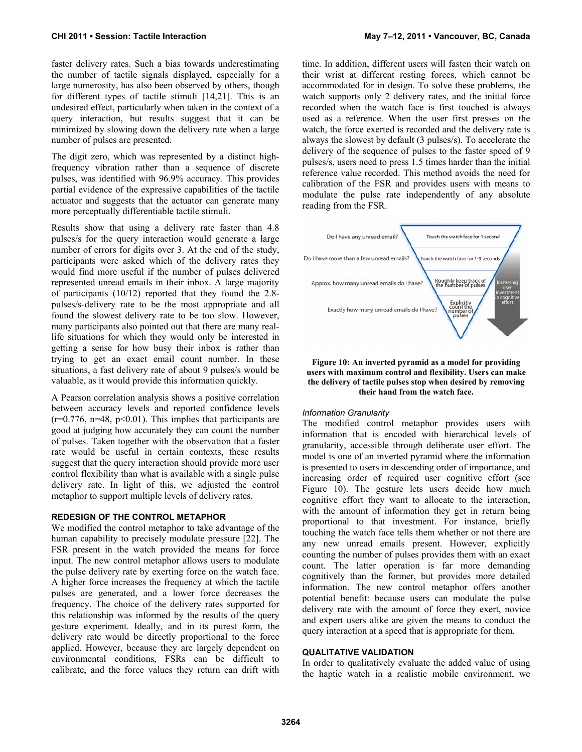faster delivery rates. Such a bias towards underestimating the number of tactile signals displayed, especially for a large numerosity, has also been observed by others, though for different types of tactile stimuli [14,21]. This is an undesired effect, particularly when taken in the context of a query interaction, but results suggest that it can be minimized by slowing down the delivery rate when a large number of pulses are presented.

The digit zero, which was represented by a distinct highfrequency vibration rather than a sequence of discrete pulses, was identified with 96.9% accuracy. This provides partial evidence of the expressive capabilities of the tactile actuator and suggests that the actuator can generate many more perceptually differentiable tactile stimuli.

Results show that using a delivery rate faster than 4.8 pulses/s for the query interaction would generate a large number of errors for digits over 3. At the end of the study, participants were asked which of the delivery rates they would find more useful if the number of pulses delivered represented unread emails in their inbox. A large majority of participants (10/12) reported that they found the 2.8 pulses/s-delivery rate to be the most appropriate and all found the slowest delivery rate to be too slow. However, many participants also pointed out that there are many reallife situations for which they would only be interested in getting a sense for how busy their inbox is rather than trying to get an exact email count number. In these situations, a fast delivery rate of about 9 pulses/s would be valuable, as it would provide this information quickly.

A Pearson correlation analysis shows a positive correlation between accuracy levels and reported confidence levels  $(r=0.776, n=48, p<0.01)$ . This implies that participants are good at judging how accurately they can count the number of pulses. Taken together with the observation that a faster rate would be useful in certain contexts, these results suggest that the query interaction should provide more user control flexibility than what is available with a single pulse delivery rate. In light of this, we adjusted the control metaphor to support multiple levels of delivery rates.

## **REDESIGN OF THE CONTROL METAPHOR**

We modified the control metaphor to take advantage of the human capability to precisely modulate pressure [22]. The FSR present in the watch provided the means for force input. The new control metaphor allows users to modulate the pulse delivery rate by exerting force on the watch face. A higher force increases the frequency at which the tactile pulses are generated, and a lower force decreases the frequency. The choice of the delivery rates supported for this relationship was informed by the results of the query gesture experiment. Ideally, and in its purest form, the delivery rate would be directly proportional to the force applied. However, because they are largely dependent on environmental conditions, FSRs can be difficult to calibrate, and the force values they return can drift with

time. In addition, different users will fasten their watch on their wrist at different resting forces, which cannot be accommodated for in design. To solve these problems, the watch supports only 2 delivery rates, and the initial force recorded when the watch face is first touched is always used as a reference. When the user first presses on the watch, the force exerted is recorded and the delivery rate is always the slowest by default (3 pulses/s). To accelerate the delivery of the sequence of pulses to the faster speed of 9 pulses/s, users need to press 1.5 times harder than the initial reference value recorded. This method avoids the need for calibration of the FSR and provides users with means to modulate the pulse rate independently of any absolute reading from the FSR.



#### **Figure 10: An inverted pyramid as a model for providing users with maximum control and flexibility. Users can make the delivery of tactile pulses stop when desired by removing their hand from the watch face.**

## *Information Granularity*

The modified control metaphor provides users with information that is encoded with hierarchical levels of granularity, accessible through deliberate user effort. The model is one of an inverted pyramid where the information is presented to users in descending order of importance, and increasing order of required user cognitive effort (see Figure 10). The gesture lets users decide how much cognitive effort they want to allocate to the interaction, with the amount of information they get in return being proportional to that investment. For instance, briefly touching the watch face tells them whether or not there are any new unread emails present. However, explicitly counting the number of pulses provides them with an exact count. The latter operation is far more demanding cognitively than the former, but provides more detailed information. The new control metaphor offers another potential benefit: because users can modulate the pulse delivery rate with the amount of force they exert, novice and expert users alike are given the means to conduct the query interaction at a speed that is appropriate for them.

## **QUALITATIVE VALIDATION**

In order to qualitatively evaluate the added value of using the haptic watch in a realistic mobile environment, we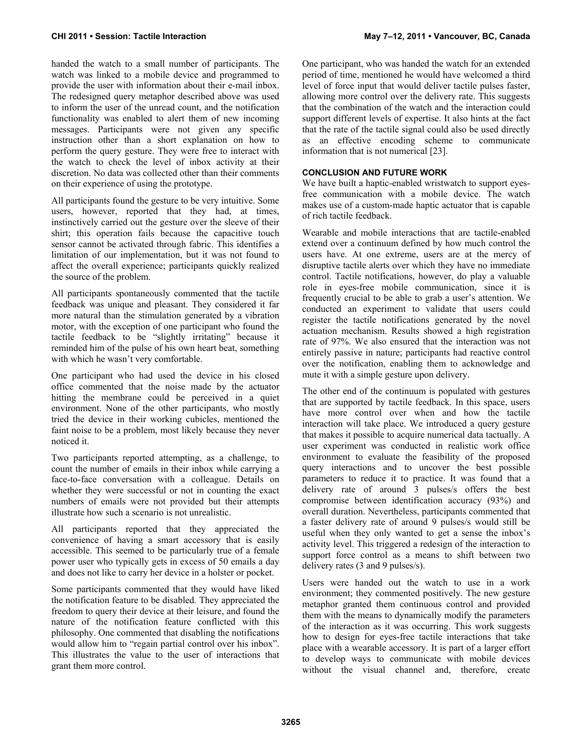handed the watch to a small number of participants. The watch was linked to a mobile device and programmed to provide the user with information about their e-mail inbox. The redesigned query metaphor described above was used to inform the user of the unread count, and the notification functionality was enabled to alert them of new incoming messages. Participants were not given any specific instruction other than a short explanation on how to perform the query gesture. They were free to interact with the watch to check the level of inbox activity at their discretion. No data was collected other than their comments on their experience of using the prototype.

All participants found the gesture to be very intuitive. Some users, however, reported that they had, at times, instinctively carried out the gesture over the sleeve of their shirt; this operation fails because the capacitive touch sensor cannot be activated through fabric. This identifies a limitation of our implementation, but it was not found to affect the overall experience; participants quickly realized the source of the problem.

All participants spontaneously commented that the tactile feedback was unique and pleasant. They considered it far more natural than the stimulation generated by a vibration motor, with the exception of one participant who found the tactile feedback to be "slightly irritating" because it reminded him of the pulse of his own heart beat, something with which he wasn't very comfortable.

One participant who had used the device in his closed office commented that the noise made by the actuator hitting the membrane could be perceived in a quiet environment. None of the other participants, who mostly tried the device in their working cubicles, mentioned the faint noise to be a problem, most likely because they never noticed it.

Two participants reported attempting, as a challenge, to count the number of emails in their inbox while carrying a face-to-face conversation with a colleague. Details on whether they were successful or not in counting the exact numbers of emails were not provided but their attempts illustrate how such a scenario is not unrealistic.

All participants reported that they appreciated the convenience of having a smart accessory that is easily accessible. This seemed to be particularly true of a female power user who typically gets in excess of 50 emails a day and does not like to carry her device in a holster or pocket.

Some participants commented that they would have liked the notification feature to be disabled. They appreciated the freedom to query their device at their leisure, and found the nature of the notification feature conflicted with this philosophy. One commented that disabling the notifications would allow him to "regain partial control over his inbox". This illustrates the value to the user of interactions that grant them more control.

One participant, who was handed the watch for an extended period of time, mentioned he would have welcomed a third level of force input that would deliver tactile pulses faster, allowing more control over the delivery rate. This suggests that the combination of the watch and the interaction could support different levels of expertise. It also hints at the fact that the rate of the tactile signal could also be used directly as an effective encoding scheme to communicate information that is not numerical [23].

# **CONCLUSION AND FUTURE WORK**

We have built a haptic-enabled wristwatch to support eyesfree communication with a mobile device. The watch makes use of a custom-made haptic actuator that is capable of rich tactile feedback.

Wearable and mobile interactions that are tactile-enabled extend over a continuum defined by how much control the users have. At one extreme, users are at the mercy of disruptive tactile alerts over which they have no immediate control. Tactile notifications, however, do play a valuable role in eyes-free mobile communication, since it is frequently crucial to be able to grab a user's attention. We conducted an experiment to validate that users could register the tactile notifications generated by the novel actuation mechanism. Results showed a high registration rate of 97%. We also ensured that the interaction was not entirely passive in nature; participants had reactive control over the notification, enabling them to acknowledge and mute it with a simple gesture upon delivery.

The other end of the continuum is populated with gestures that are supported by tactile feedback. In this space, users have more control over when and how the tactile interaction will take place. We introduced a query gesture that makes it possible to acquire numerical data tactually. A user experiment was conducted in realistic work office environment to evaluate the feasibility of the proposed query interactions and to uncover the best possible parameters to reduce it to practice. It was found that a delivery rate of around 3 pulses/s offers the best compromise between identification accuracy (93%) and overall duration. Nevertheless, participants commented that a faster delivery rate of around 9 pulses/s would still be useful when they only wanted to get a sense the inbox's activity level. This triggered a redesign of the interaction to support force control as a means to shift between two delivery rates (3 and 9 pulses/s).

Users were handed out the watch to use in a work environment; they commented positively. The new gesture metaphor granted them continuous control and provided them with the means to dynamically modify the parameters of the interaction as it was occurring. This work suggests how to design for eyes-free tactile interactions that take place with a wearable accessory. It is part of a larger effort to develop ways to communicate with mobile devices without the visual channel and, therefore, create